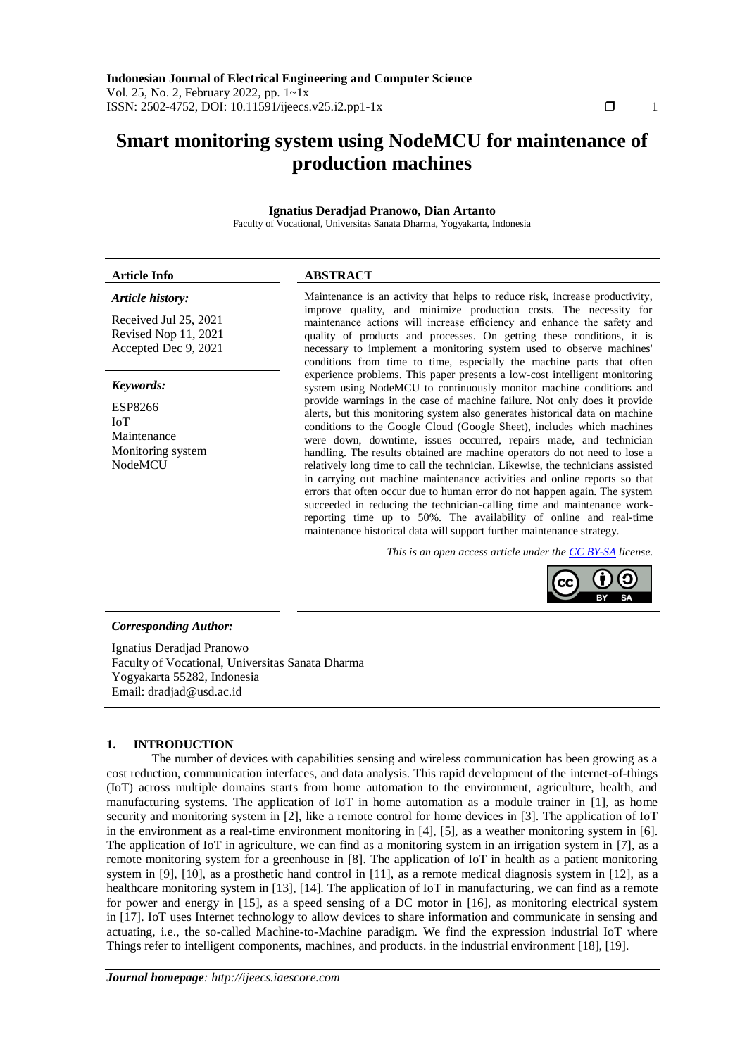# **Smart monitoring system using NodeMCU for maintenance of production machines**

# **Ignatius Deradjad Pranowo, Dian Artanto**

Faculty of Vocational, Universitas Sanata Dharma, Yogyakarta, Indonesia

# **Article Info ABSTRACT**

Received Jul 25, 2021 Revised Nop 11, 2021 Accepted Dec 9, 2021

#### *Keywords:*

ESP8266 IoT Maintenance Monitoring system NodeMCU

*Article history:* Maintenance is an activity that helps to reduce risk, increase productivity, improve quality, and minimize production costs. The necessity for maintenance actions will increase efficiency and enhance the safety and quality of products and processes. On getting these conditions, it is necessary to implement a monitoring system used to observe machines' conditions from time to time, especially the machine parts that often experience problems. This paper presents a low-cost intelligent monitoring system using NodeMCU to continuously monitor machine conditions and provide warnings in the case of machine failure. Not only does it provide alerts, but this monitoring system also generates historical data on machine conditions to the Google Cloud (Google Sheet), includes which machines were down, downtime, issues occurred, repairs made, and technician handling. The results obtained are machine operators do not need to lose a relatively long time to call the technician. Likewise, the technicians assisted in carrying out machine maintenance activities and online reports so that errors that often occur due to human error do not happen again. The system succeeded in reducing the technician-calling time and maintenance workreporting time up to 50%. The availability of online and real-time maintenance historical data will support further maintenance strategy.

*This is an open access article under th[e CC BY-SA](https://creativecommons.org/licenses/by-sa/4.0/) license.*



# *Corresponding Author:*

Ignatius Deradjad Pranowo Faculty of Vocational, Universitas Sanata Dharma Yogyakarta 55282, Indonesia Email: dradjad@usd.ac.id

## **1. INTRODUCTION**

The number of devices with capabilities sensing and wireless communication has been growing as a cost reduction, communication interfaces, and data analysis. This rapid development of the internet-of-things (IoT) across multiple domains starts from home automation to the environment, agriculture, health, and manufacturing systems. The application of IoT in home automation as a module trainer in [1], as home security and monitoring system in [2], like a remote control for home devices in [3]. The application of IoT in the environment as a real-time environment monitoring in [4], [5], as a weather monitoring system in [6]. The application of IoT in agriculture, we can find as a monitoring system in an irrigation system in [7], as a remote monitoring system for a greenhouse in [8]. The application of IoT in health as a patient monitoring system in [9], [10], as a prosthetic hand control in [11], as a remote medical diagnosis system in [12], as a healthcare monitoring system in [13], [14]. The application of IoT in manufacturing, we can find as a remote for power and energy in [15], as a speed sensing of a DC motor in [16], as monitoring electrical system in [17]. IoT uses Internet technology to allow devices to share information and communicate in sensing and actuating, i.e., the so-called Machine-to-Machine paradigm. We find the expression industrial IoT where Things refer to intelligent components, machines, and products. in the industrial environment [18], [19].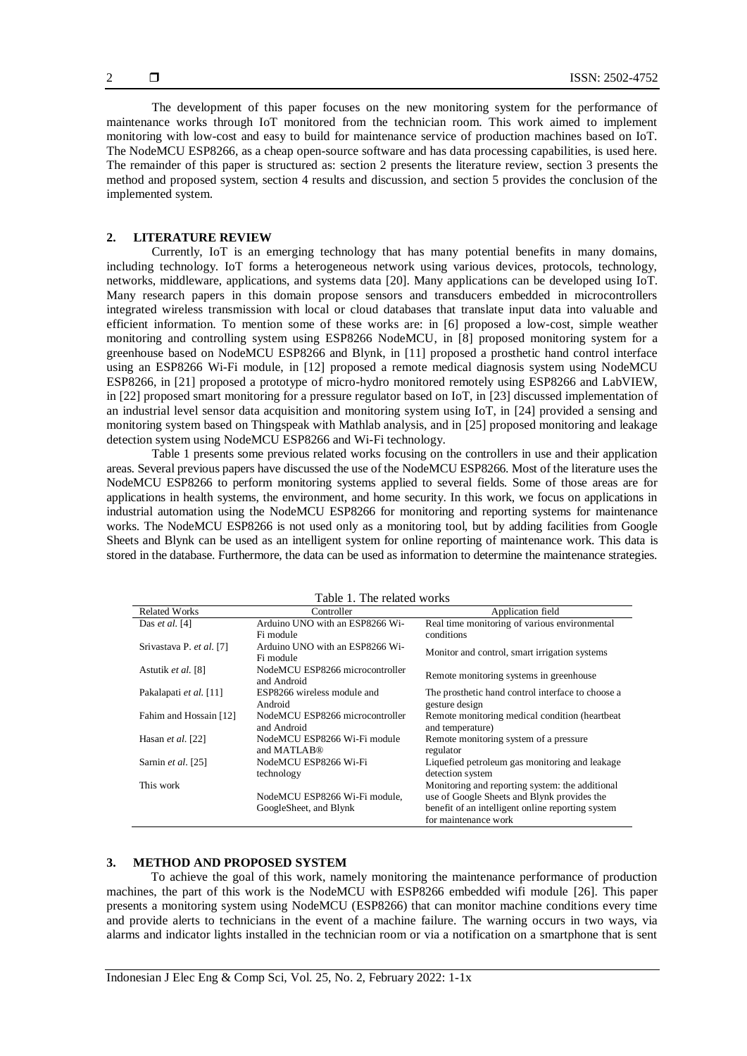The development of this paper focuses on the new monitoring system for the performance of maintenance works through IoT monitored from the technician room. This work aimed to implement monitoring with low-cost and easy to build for maintenance service of production machines based on IoT. The NodeMCU ESP8266, as a cheap open-source software and has data processing capabilities, is used here. The remainder of this paper is structured as: section 2 presents the literature review, section 3 presents the method and proposed system, section 4 results and discussion, and section 5 provides the conclusion of the implemented system.

### **2. LITERATURE REVIEW**

Currently, IoT is an emerging technology that has many potential benefits in many domains, including technology. IoT forms a heterogeneous network using various devices, protocols, technology, networks, middleware, applications, and systems data [20]. Many applications can be developed using IoT. Many research papers in this domain propose sensors and transducers embedded in microcontrollers integrated wireless transmission with local or cloud databases that translate input data into valuable and efficient information. To mention some of these works are: in [6] proposed a low-cost, simple weather monitoring and controlling system using ESP8266 NodeMCU, in [8] proposed monitoring system for a greenhouse based on NodeMCU ESP8266 and Blynk, in [11] proposed a prosthetic hand control interface using an ESP8266 Wi-Fi module, in [12] proposed a remote medical diagnosis system using NodeMCU ESP8266, in [21] proposed a prototype of micro-hydro monitored remotely using ESP8266 and LabVIEW, in [22] proposed smart monitoring for a pressure regulator based on IoT, in [23] discussed implementation of an industrial level sensor data acquisition and monitoring system using IoT, in [24] provided a sensing and monitoring system based on Thingspeak with Mathlab analysis, and in [25] proposed monitoring and leakage detection system using NodeMCU ESP8266 and Wi-Fi technology.

Table 1 presents some previous related works focusing on the controllers in use and their application areas. Several previous papers have discussed the use of the NodeMCU ESP8266. Most of the literature uses the NodeMCU ESP8266 to perform monitoring systems applied to several fields. Some of those areas are for applications in health systems, the environment, and home security. In this work, we focus on applications in industrial automation using the NodeMCU ESP8266 for monitoring and reporting systems for maintenance works. The NodeMCU ESP8266 is not used only as a monitoring tool, but by adding facilities from Google Sheets and Blynk can be used as an intelligent system for online reporting of maintenance work. This data is stored in the database. Furthermore, the data can be used as information to determine the maintenance strategies.

| Table 1. The related works |                                                |                                                                     |  |  |  |  |  |  |  |  |
|----------------------------|------------------------------------------------|---------------------------------------------------------------------|--|--|--|--|--|--|--|--|
| <b>Related Works</b>       | Controller                                     | Application field                                                   |  |  |  |  |  |  |  |  |
| Das et al. $[4]$           | Arduino UNO with an ESP8266 Wi-                | Real time monitoring of various environmental                       |  |  |  |  |  |  |  |  |
|                            | Fi module                                      | conditions                                                          |  |  |  |  |  |  |  |  |
| Srivastava P. et al. [7]   | Arduino UNO with an ESP8266 Wi-                |                                                                     |  |  |  |  |  |  |  |  |
|                            | Fi module                                      | Monitor and control, smart irrigation systems                       |  |  |  |  |  |  |  |  |
| Astutik et al. [8]         | NodeMCU ESP8266 microcontroller<br>and Android | Remote monitoring systems in greenhouse                             |  |  |  |  |  |  |  |  |
| Pakalapati et al. [11]     | ESP8266 wireless module and                    | The prosthetic hand control interface to choose a<br>gesture design |  |  |  |  |  |  |  |  |
|                            | Android                                        |                                                                     |  |  |  |  |  |  |  |  |
| Fahim and Hossain [12]     | NodeMCU ESP8266 microcontroller                | Remote monitoring medical condition (heartbeat)                     |  |  |  |  |  |  |  |  |
|                            | and Android                                    | and temperature)                                                    |  |  |  |  |  |  |  |  |
| Hasan <i>et al.</i> [22]   | NodeMCU ESP8266 Wi-Fi module                   | Remote monitoring system of a pressure                              |  |  |  |  |  |  |  |  |
|                            | and MATLAB <sup>®</sup>                        | regulator                                                           |  |  |  |  |  |  |  |  |
| Sarnin et al. [25]         | NodeMCU ESP8266 Wi-Fi                          | Liquefied petroleum gas monitoring and leakage                      |  |  |  |  |  |  |  |  |
|                            | technology                                     | detection system                                                    |  |  |  |  |  |  |  |  |
| This work                  |                                                | Monitoring and reporting system: the additional                     |  |  |  |  |  |  |  |  |
|                            | NodeMCU ESP8266 Wi-Fi module,                  | use of Google Sheets and Blynk provides the                         |  |  |  |  |  |  |  |  |
|                            | GoogleSheet, and Blynk                         | benefit of an intelligent online reporting system                   |  |  |  |  |  |  |  |  |
|                            |                                                | for maintenance work                                                |  |  |  |  |  |  |  |  |

Table 1. The related works

### **3. METHOD AND PROPOSED SYSTEM**

To achieve the goal of this work, namely monitoring the maintenance performance of production machines, the part of this work is the NodeMCU with ESP8266 embedded wifi module [26]. This paper presents a monitoring system using NodeMCU (ESP8266) that can monitor machine conditions every time and provide alerts to technicians in the event of a machine failure. The warning occurs in two ways, via alarms and indicator lights installed in the technician room or via a notification on a smartphone that is sent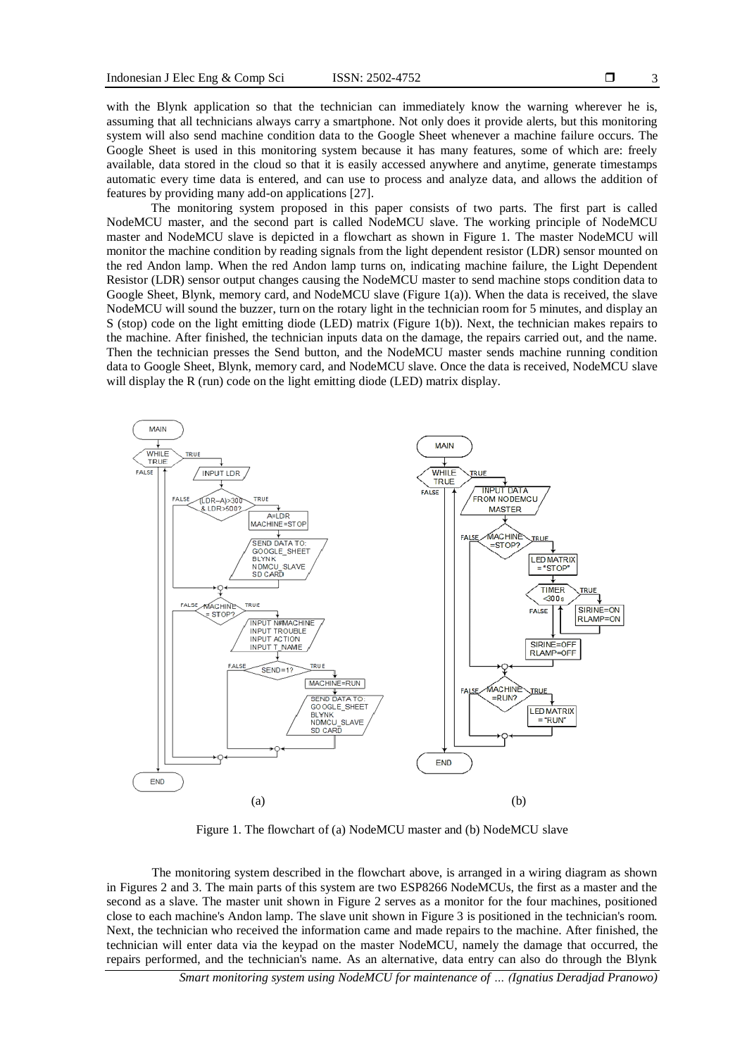3

with the Blynk application so that the technician can immediately know the warning wherever he is, assuming that all technicians always carry a smartphone. Not only does it provide alerts, but this monitoring system will also send machine condition data to the Google Sheet whenever a machine failure occurs. The Google Sheet is used in this monitoring system because it has many features, some of which are: freely available, data stored in the cloud so that it is easily accessed anywhere and anytime, generate timestamps automatic every time data is entered, and can use to process and analyze data, and allows the addition of features by providing many add-on applications [27].

The monitoring system proposed in this paper consists of two parts. The first part is called NodeMCU master, and the second part is called NodeMCU slave. The working principle of NodeMCU master and NodeMCU slave is depicted in a flowchart as shown in Figure 1. The master NodeMCU will monitor the machine condition by reading signals from the light dependent resistor (LDR) sensor mounted on the red Andon lamp. When the red Andon lamp turns on, indicating machine failure, the Light Dependent Resistor (LDR) sensor output changes causing the NodeMCU master to send machine stops condition data to Google Sheet, Blynk, memory card, and NodeMCU slave (Figure 1(a)). When the data is received, the slave NodeMCU will sound the buzzer, turn on the rotary light in the technician room for 5 minutes, and display an S (stop) code on the light emitting diode (LED) matrix (Figure 1(b)). Next, the technician makes repairs to the machine. After finished, the technician inputs data on the damage, the repairs carried out, and the name. Then the technician presses the Send button, and the NodeMCU master sends machine running condition data to Google Sheet, Blynk, memory card, and NodeMCU slave. Once the data is received, NodeMCU slave will display the R (run) code on the light emitting diode (LED) matrix display.



Figure 1. The flowchart of (a) NodeMCU master and (b) NodeMCU slave

The monitoring system described in the flowchart above, is arranged in a wiring diagram as shown in Figures 2 and 3. The main parts of this system are two ESP8266 NodeMCUs, the first as a master and the second as a slave. The master unit shown in Figure 2 serves as a monitor for the four machines, positioned close to each machine's Andon lamp. The slave unit shown in Figure 3 is positioned in the technician's room. Next, the technician who received the information came and made repairs to the machine. After finished, the technician will enter data via the keypad on the master NodeMCU, namely the damage that occurred, the repairs performed, and the technician's name. As an alternative, data entry can also do through the Blynk

*Smart monitoring system using NodeMCU for maintenance of … (Ignatius Deradjad Pranowo)*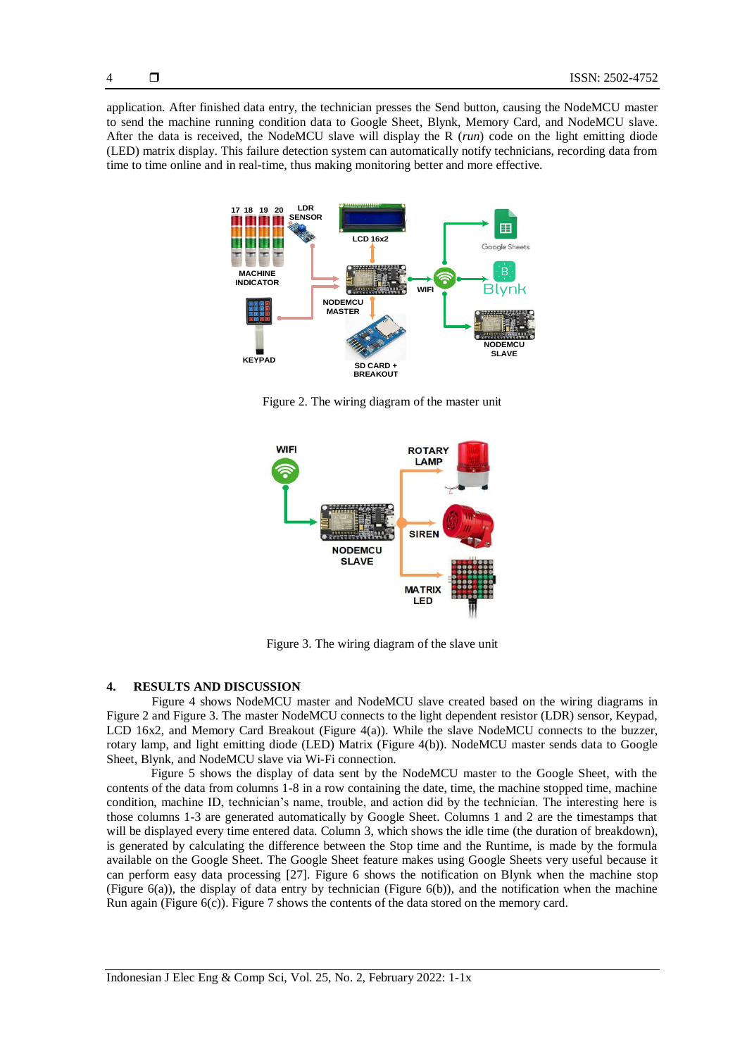application. After finished data entry, the technician presses the Send button, causing the NodeMCU master to send the machine running condition data to Google Sheet, Blynk, Memory Card, and NodeMCU slave. After the data is received, the NodeMCU slave will display the R (*run*) code on the light emitting diode (LED) matrix display. This failure detection system can automatically notify technicians, recording data from time to time online and in real-time, thus making monitoring better and more effective.



Figure 2. The wiring diagram of the master unit



Figure 3. The wiring diagram of the slave unit

#### **4. RESULTS AND DISCUSSION**

Figure 4 shows NodeMCU master and NodeMCU slave created based on the wiring diagrams in Figure 2 and Figure 3. The master NodeMCU connects to the light dependent resistor (LDR) sensor, Keypad, LCD 16x2, and Memory Card Breakout (Figure 4(a)). While the slave NodeMCU connects to the buzzer, rotary lamp, and light emitting diode (LED) Matrix (Figure 4(b)). NodeMCU master sends data to Google Sheet, Blynk, and NodeMCU slave via Wi-Fi connection.

Figure 5 shows the display of data sent by the NodeMCU master to the Google Sheet, with the contents of the data from columns 1-8 in a row containing the date, time, the machine stopped time, machine condition, machine ID, technician's name, trouble, and action did by the technician. The interesting here is those columns 1-3 are generated automatically by Google Sheet. Columns 1 and 2 are the timestamps that will be displayed every time entered data. Column 3, which shows the idle time (the duration of breakdown), is generated by calculating the difference between the Stop time and the Runtime, is made by the formula available on the Google Sheet. The Google Sheet feature makes using Google Sheets very useful because it can perform easy data processing [27]. Figure 6 shows the notification on Blynk when the machine stop (Figure 6(a)), the display of data entry by technician (Figure 6(b)), and the notification when the machine Run again (Figure 6(c)). Figure 7 shows the contents of the data stored on the memory card.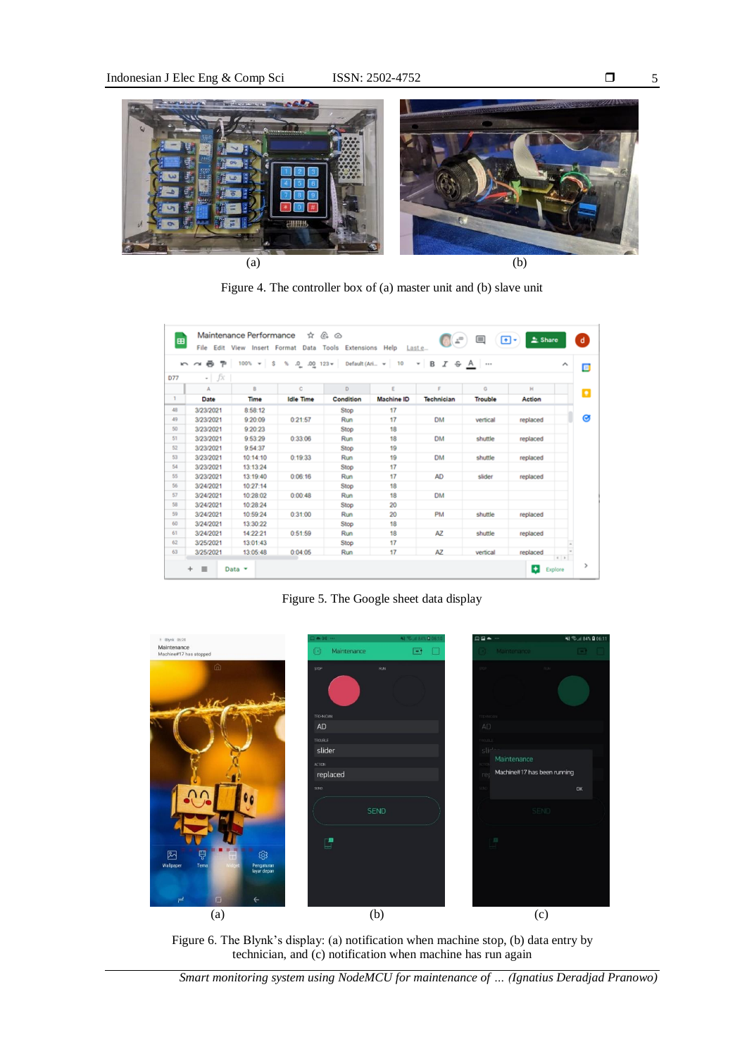

Figure 4. The controller box of (a) master unit and (b) slave unit

| $\overline{ }$ | $\sim$ $\approx$ $\approx$ |          |                  |             | 100% v S % 0 00 123 v Default (Ari v 10 v B T & A |            |                |              | ́ |
|----------------|----------------------------|----------|------------------|-------------|---------------------------------------------------|------------|----------------|--------------|---|
| D77            | $ fx$                      |          |                  |             |                                                   |            |                |              |   |
|                | $\Delta$                   | B.       | c                | D.          | E                                                 | E          | Ġ              | $\mathbb{H}$ |   |
| 1.             | Date                       | Time     | <b>Idle Time</b> | Condition   | Machine ID                                        | Technician | <b>Trouble</b> | Action       |   |
| 48             | 3/23/2021                  | 8:58:12  |                  | <b>Stop</b> | 17                                                |            |                |              |   |
| 49             | 3/23/2021                  | 9:20:09  | 0:21:57          | Run         | 17                                                | <b>DM</b>  | vertical       | replaced     |   |
| 50             | 3/23/2021                  | 9:20:23  |                  | Stop        | 18                                                |            |                |              |   |
| 51             | 3/23/2021                  | 9:53:29  | 0:33:06          | Run         | 18                                                | <b>DM</b>  | shuttle        | replaced     |   |
| 52             | 3/23/2021                  | 9:54:37  |                  | Stop        | 19                                                |            |                |              |   |
| 53             | 3/23/2021                  | 10:14:10 | 0:19:33          | Run         | 19                                                | <b>DM</b>  | shuttle        | replaced     |   |
| 54             | 3/23/2021                  | 13:13:24 |                  | Stop        | 17                                                |            |                |              |   |
| 55             | 3/23/2021                  | 13:19:40 | 0:06:16          | Run         | 17                                                | AD         | slider         | replaced     |   |
| 56             | 3/24/2021                  | 10:27:14 |                  | Stop        | 18                                                |            |                |              |   |
| 57             | 3/24/2021                  | 10:28:02 | 0:00:48          | Run         | 18                                                | <b>DM</b>  |                |              |   |
| 58             | 3/24/2021                  | 10:28:24 |                  | Stop        | 20                                                |            |                |              |   |
| 59             | 3/24/2021                  | 10:59:24 | 0:31:00          | Run         | 20                                                | <b>PM</b>  | shuttle        | replaced     |   |
| 60             | 3/24/2021                  | 13:30:22 |                  | Stop        | 18                                                |            |                |              |   |
| 61             | 3/24/2021                  | 14:22:21 | 0:51:59          | Run         | 18                                                | AZ         | shuttle        | replaced     |   |
| 62             | 3/25/2021                  | 13:01:43 |                  | Stop        | 17                                                |            |                |              |   |
| 63             | 3/25/2021                  | 13:05:48 | 0:04:05          | Run         | 17                                                | AZ         | vertical       | replaced     | 1 |

Figure 5. The Google sheet data display



Figure 6. The Blynk's display: (a) notification when machine stop, (b) data entry by technician, and (c) notification when machine has run again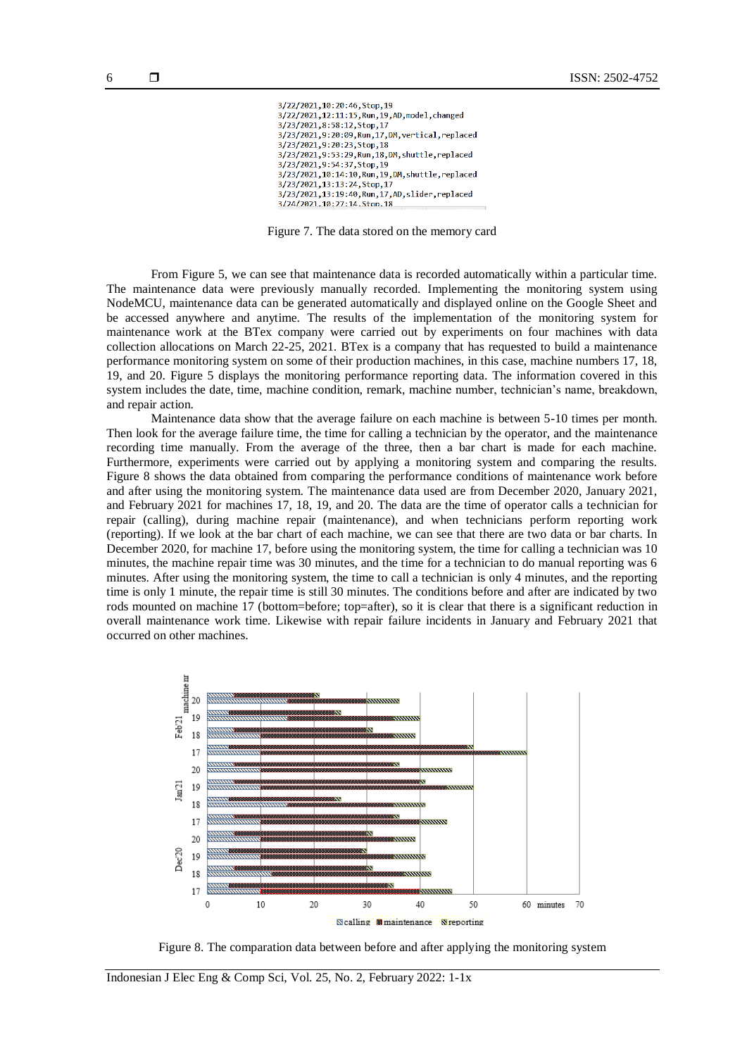| 3/22/2021,10:20:46,Stop,19                        |  |
|---------------------------------------------------|--|
| 3/22/2021,12:11:15,Run,19,AD,model,changed        |  |
| 3/23/2021.8:58:12.Stop.17                         |  |
| 3/23/2021.9:20:09.Run.17.DM.vertical.replaced     |  |
| 3/23/2021.9:20:23.Stop.18                         |  |
| 3/23/2021.9:53:29.Run.18.DM.shuttle.replaced      |  |
| 3/23/2021.9:54:37.Stop.19                         |  |
| 3/23/2021,10:14:10,Run,19,DM,shuttle,replaced     |  |
| 3/23/2021, 13:13:24, Stop, 17                     |  |
| 3/23/2021,13:19:40, Run, 17, AD, slider, replaced |  |
| 3/24/2021.10:27:14.Ston.18                        |  |
|                                                   |  |

Figure 7. The data stored on the memory card

From Figure 5, we can see that maintenance data is recorded automatically within a particular time. The maintenance data were previously manually recorded. Implementing the monitoring system using NodeMCU, maintenance data can be generated automatically and displayed online on the Google Sheet and be accessed anywhere and anytime. The results of the implementation of the monitoring system for maintenance work at the BTex company were carried out by experiments on four machines with data collection allocations on March 22-25, 2021. BTex is a company that has requested to build a maintenance performance monitoring system on some of their production machines, in this case, machine numbers 17, 18, 19, and 20. Figure 5 displays the monitoring performance reporting data. The information covered in this system includes the date, time, machine condition, remark, machine number, technician's name, breakdown, and repair action.

Maintenance data show that the average failure on each machine is between 5-10 times per month. Then look for the average failure time, the time for calling a technician by the operator, and the maintenance recording time manually. From the average of the three, then a bar chart is made for each machine. Furthermore, experiments were carried out by applying a monitoring system and comparing the results. Figure 8 shows the data obtained from comparing the performance conditions of maintenance work before and after using the monitoring system. The maintenance data used are from December 2020, January 2021, and February 2021 for machines 17, 18, 19, and 20. The data are the time of operator calls a technician for repair (calling), during machine repair (maintenance), and when technicians perform reporting work (reporting). If we look at the bar chart of each machine, we can see that there are two data or bar charts. In December 2020, for machine 17, before using the monitoring system, the time for calling a technician was 10 minutes, the machine repair time was 30 minutes, and the time for a technician to do manual reporting was 6 minutes. After using the monitoring system, the time to call a technician is only 4 minutes, and the reporting time is only 1 minute, the repair time is still 30 minutes. The conditions before and after are indicated by two rods mounted on machine 17 (bottom=before; top=after), so it is clear that there is a significant reduction in overall maintenance work time. Likewise with repair failure incidents in January and February 2021 that occurred on other machines.



Figure 8. The comparation data between before and after applying the monitoring system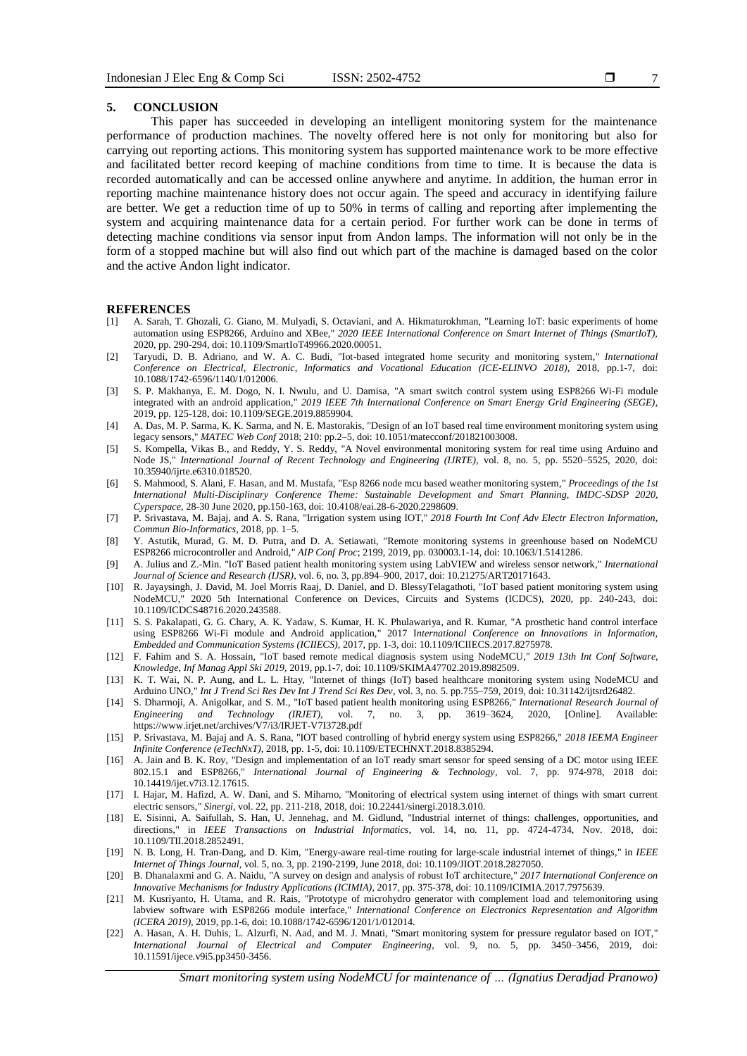7

#### **5. CONCLUSION**

This paper has succeeded in developing an intelligent monitoring system for the maintenance performance of production machines. The novelty offered here is not only for monitoring but also for carrying out reporting actions. This monitoring system has supported maintenance work to be more effective and facilitated better record keeping of machine conditions from time to time. It is because the data is recorded automatically and can be accessed online anywhere and anytime. In addition, the human error in reporting machine maintenance history does not occur again. The speed and accuracy in identifying failure are better. We get a reduction time of up to 50% in terms of calling and reporting after implementing the system and acquiring maintenance data for a certain period. For further work can be done in terms of detecting machine conditions via sensor input from Andon lamps. The information will not only be in the form of a stopped machine but will also find out which part of the machine is damaged based on the color and the active Andon light indicator.

#### **REFERENCES**

- [1] A. Sarah, T. Ghozali, G. Giano, M. Mulyadi, S. Octaviani, and A. Hikmaturokhman, "Learning IoT: basic experiments of home automation using ESP8266, Arduino and XBee," *2020 IEEE International Conference on Smart Internet of Things (SmartIoT),* 2020, pp. 290-294, doi: 10.1109/SmartIoT49966.2020.00051.
- [2] Taryudi, D. B. Adriano, and W. A. C. Budi, "Iot-based integrated home security and monitoring system," *International Conference on Electrical, Electronic, Informatics and Vocational Education (ICE-ELINVO 2018),* 2018, pp.1-7, doi: 10.1088/1742-6596/1140/1/012006.
- [3] S. P. Makhanya, E. M. Dogo, N. I. Nwulu, and U. Damisa, "A smart switch control system using ESP8266 Wi-Fi module integrated with an android application," *2019 IEEE 7th International Conference on Smart Energy Grid Engineering (SEGE)*, 2019, pp. 125-128, doi: 10.1109/SEGE.2019.8859904.
- [4] A. Das, M. P. Sarma, K. K. Sarma, and N. E. Mastorakis, "Design of an IoT based real time environment monitoring system using legacy sensors," *MATEC Web Conf* 2018; 210: pp.2–5, doi: 10.1051/matecconf/201821003008.
- [5] S. Kompella, Vikas B., and Reddy, Y. S. Reddy, "A Novel environmental monitoring system for real time using Arduino and Node JS," *International Journal of Recent Technology and Engineering (IJRTE),* vol. 8, no. 5, pp. 5520–5525, 2020, doi: 10.35940/ijrte.e6310.018520.
- [6] S. Mahmood, S. Alani, F. Hasan, and M. Mustafa, "Esp 8266 node mcu based weather monitoring system," *Proceedings of the 1st International Multi-Disciplinary Conference Theme: Sustainable Development and Smart Planning, IMDC-SDSP 2020, Cyperspace,* 28-30 June 2020*,* pp.150-163, doi: 10.4108/eai.28-6-2020.2298609.
- [7] P. Srivastava, M. Bajaj, and A. S. Rana, "Irrigation system using IOT," *2018 Fourth Int Conf Adv Electr Electron Information, Commun Bio-Informatics,* 2018, pp. 1–5.
- [8] Y. Astutik, Murad, G. M. D. Putra, and D. A. Setiawati, "Remote monitoring systems in greenhouse based on NodeMCU ESP8266 microcontroller and Android," *AIP Conf Proc*; 2199, 2019, pp. 030003.1-14, doi: 10.1063/1.5141286.
- [9] A. Julius and Z.-Min. "IoT Based patient health monitoring system using LabVIEW and wireless sensor network," *International Journal of Science and Research (IJSR),* vol. 6, no. 3, pp.894–900, 2017, doi: 10.21275/ART20171643.
- [10] R. Jayaysingh, J. David, M. Joel Morris Raaj, D. Daniel, and D. BlessyTelagathoti, "IoT based patient monitoring system using NodeMCU," 2020 5th International Conference on Devices, Circuits and Systems (ICDCS), 2020, pp. 240-243, doi: 10.1109/ICDCS48716.2020.243588.
- [11] S. S. Pakalapati, G. G. Chary, A. K. Yadaw, S. Kumar, H. K. Phulawariya, and R. Kumar, "A prosthetic hand control interface using ESP8266 Wi-Fi module and Android application," 2017 I*nternational Conference on Innovations in Information, Embedded and Communication Systems (ICIIECS),* 2017, pp. 1-3, doi: 10.1109/ICIIECS.2017.8275978.
- [12] F. Fahim and S. A. Hossain, "IoT based remote medical diagnosis system using NodeMCU," *2019 13th Int Conf Software, Knowledge, Inf Manag Appl Ski 2019,* 2019, pp.1-7, doi: 10.1109/SKIMA47702.2019.8982509.
- [13] K. T. Wai, N. P. Aung, and L. L. Htay, "Internet of things (IoT) based healthcare monitoring system using NodeMCU and Arduino UNO," *Int J Trend Sci Res Dev Int J Trend Sci Res Dev,* vol. 3, no. 5. pp.755–759, 2019, doi: 10.31142/ijtsrd26482.
- [14] S. Dharmoji, A. Anigolkar, and S. M., "IoT based patient health monitoring using ESP8266," *International Research Journal of Engineering and Technology (IRJET),* vol. 7, no. 3, pp. 3619–3624, 2020, [Online]. Available: https://www.irjet.net/archives/V7/i3/IRJET-V7I3728.pdf
- [15] P. Srivastava, M. Bajaj and A. S. Rana, "IOT based controlling of hybrid energy system using ESP8266," *2018 IEEMA Engineer Infinite Conference (eTechNxT),* 2018, pp. 1-5, doi: 10.1109/ETECHNXT.2018.8385294.
- [16] A. Jain and B. K. Roy, "Design and implementation of an IoT ready smart sensor for speed sensing of a DC motor using IEEE 802.15.1 and ESP8266," *International Journal of Engineering & Technology,* vol. 7, pp. 974-978, 2018 doi: 10.14419/ijet.v7i3.12.17615.
- [17] I. Hajar, M. Hafizd, A. W. Dani, and S. Miharno, "Monitoring of electrical system using internet of things with smart current electric sensors," *Sinergi,* vol. 22, pp. 211-218, 2018, doi: 10.22441/sinergi.2018.3.010.
- [18] E. Sisinni, A. Saifullah, S. Han, U. Jennehag, and M. Gidlund, "Industrial internet of things: challenges, opportunities, and directions," in *IEEE Transactions on Industrial Informatics*, vol. 14, no. 11, pp. 4724-4734, Nov. 2018, doi: 10.1109/TII.2018.2852491.
- [19] N. B. Long, H. Tran-Dang, and D. Kim, "Energy-aware real-time routing for large-scale industrial internet of things," in *IEEE Internet of Things Journal*, vol. 5, no. 3, pp. 2190-2199, June 2018, doi: 10.1109/JIOT.2018.2827050.
- [20] B. Dhanalaxmi and G. A. Naidu, "A survey on design and analysis of robust IoT architecture," *2017 International Conference on Innovative Mechanisms for Industry Applications (ICIMIA)*, 2017, pp. 375-378, doi: 10.1109/ICIMIA.2017.7975639.
- [21] M. Kusriyanto, H. Utama, and R. Rais, "Prototype of microhydro generator with complement load and telemonitoring using labview software with ESP8266 module interface," *International Conference on Electronics Representation and Algorithm (ICERA 2019),* 2019, pp.1-6, doi: 10.1088/1742-6596/1201/1/012014.
- [22] A. Hasan, A. H. Duhis, L. Alzurfi, N. Aad, and M. J. Mnati, "Smart monitoring system for pressure regulator based on IOT," *International Journal of Electrical and Computer Engineering*, vol. 9, no. 5, pp. 3450–3456, 2019, doi: 10.11591/ijece.v9i5.pp3450-3456.